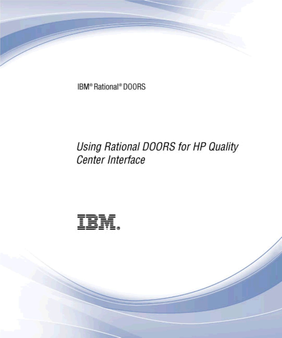IBM® Rational® DOORS

# Using Rational DOORS for HP Quality Center Interface

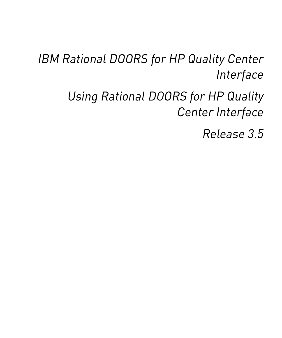*IBM Rational DOORS for HP Quality Center Interface*

> *Using Rational DOORS for HP Quality Center Interface*

> > *Release 3.5*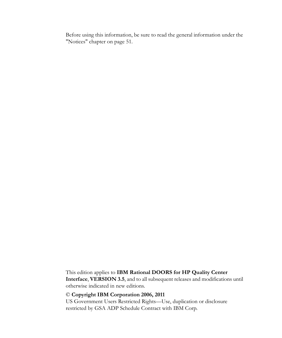Before using this information, be sure to read the general information under the ["Notices" chapter on page 51.](#page-58-0)

This edition applies to **IBM Rational DOORS for HP Quality Center Interface**, **VERSION 3.5**, and to all subsequent releases and modifications until otherwise indicated in new editions.

#### © **Copyright IBM Corporation 2006, 2011**

US Government Users Restricted Rights—Use, duplication or disclosure restricted by GSA ADP Schedule Contract with IBM Corp.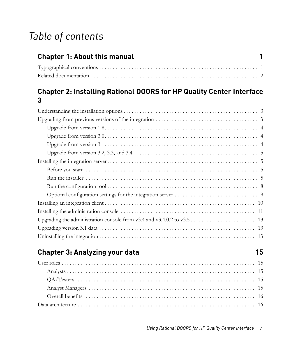# *Table of contents*

| <b>Chapter 1: About this manual</b><br>$\blacksquare$ |  |
|-------------------------------------------------------|--|
|                                                       |  |
|                                                       |  |

# **[Chapter 2: Installing Rational DOORS for HP Quality Center Interface](#page-10-0)  3**

# **Chapter 3: Analyzing your data** 15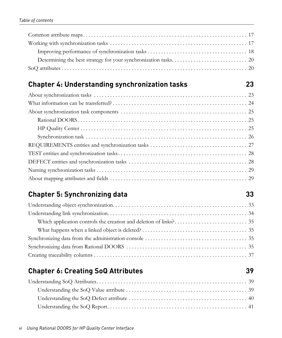# **[Chapter 4: Understanding synchronization tasks 23](#page-30-0)**

# **[Chapter 5: Synchronizing data 33](#page-40-0)**

# **[Chapter 6: Creating SoQ Attributes 39](#page-46-0)**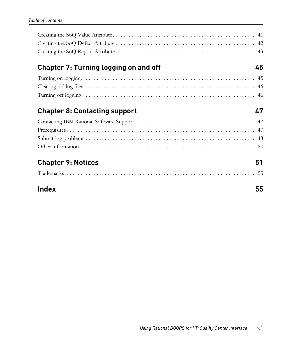# **[Chapter 7: Turning logging on and off 45](#page-52-0)**

# **[Chapter 8: Contacting support 47](#page-54-0) Apple 2014**

# **[Chapter 9: Notices 51](#page-58-1)**

|--|

# **[Index 55](#page-62-0)**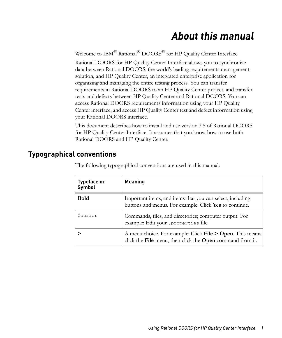# *About this manual*

<span id="page-8-0"></span>Welcome to IBM<sup>®</sup> Rational<sup>®</sup> DOORS<sup>®</sup> for HP Quality Center Interface.

Rational DOORS for HP Quality Center Interface allows you to synchronize data between Rational DOORS, the world's leading requirements management solution, and HP Quality Center, an integrated enterprise application for organizing and managing the entire testing process. You can transfer requirements in Rational DOORS to an HP Quality Center project, and transfer tests and defects between HP Quality Center and Rational DOORS. You can access Rational DOORS requirements information using your HP Quality Center interface, and access HP Quality Center test and defect information using your Rational DOORS interface.

This document describes how to install and use version 3.5 of Rational DOORS for HP Quality Center Interface. It assumes that you know how to use both Rational DOORS and HP Quality Center.

# <span id="page-8-1"></span>**Typographical conventions**

| <b>Typeface or</b><br>Symbol | <b>Meaning</b>                                                                                                                    |
|------------------------------|-----------------------------------------------------------------------------------------------------------------------------------|
| <b>Bold</b>                  | Important items, and items that you can select, including<br>buttons and menus. For example: Click Yes to continue.               |
| Courier                      | Commands, files, and directories; computer output. For<br>example: Edit your .properties file.                                    |
|                              | A menu choice. For example: Click <b>File &gt; Open</b> . This means<br>click the File menu, then click the Open command from it. |

The following typographical conventions are used in this manual: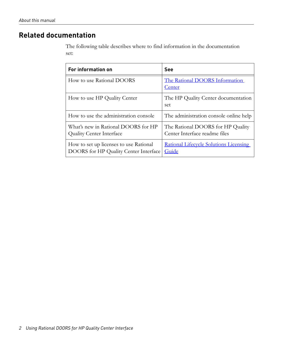# <span id="page-9-0"></span>**Related documentation**

The following table describes where to find information in the documentation set:

| For information on                                                              | <b>See</b>                                                         |
|---------------------------------------------------------------------------------|--------------------------------------------------------------------|
| How to use Rational DOORS                                                       | The Rational DOORS Information<br>Center                           |
| How to use HP Quality Center                                                    | The HP Quality Center documentation<br>set                         |
| How to use the administration console                                           | The administration console online help                             |
| What's new in Rational DOORS for HP<br><b>Quality Center Interface</b>          | The Rational DOORS for HP Quality<br>Center Interface readme files |
| How to set up licenses to use Rational<br>DOORS for HP Quality Center Interface | Rational Lifecycle Solutions Licensing<br>Guide                    |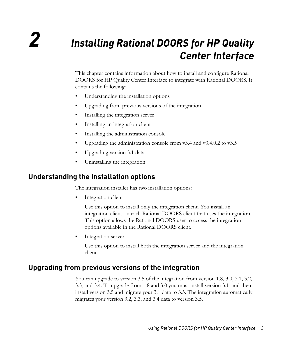# <span id="page-10-0"></span>*2 Installing Rational DOORS for HP Quality Center Interface*

This chapter contains information about how to install and configure Rational DOORS for HP Quality Center Interface to integrate with Rational DOORS. It contains the following:

- [Understanding the installation options](#page-10-1)
- [Upgrading from previous versions of the integration](#page-10-2)
- [Installing the integration server](#page-12-1)
- [Installing an integration client](#page-17-0)
- [Installing the administration console](#page-18-0)
- [Upgrading the administration console from v3.4 and v3.4.0.2 to v3.5](#page-20-0)
- [Upgrading version 3.1 data](#page-20-1)
- [Uninstalling the integration](#page-20-2)

# <span id="page-10-1"></span>**Understanding the installation options**

The integration installer has two installation options:

Integration client

Use this option to install only the integration client. You install an integration client on each Rational DOORS client that uses the integration. This option allows the Rational DOORS user to access the integration options available in the Rational DOORS client.

Integration server

Use this option to install both the integration server and the integration client.

# <span id="page-10-3"></span><span id="page-10-2"></span>**Upgrading from previous versions of the integration**

You can upgrade to version 3.5 of the integration from version 1.8, 3.0, 3.1, 3.2, 3.3, and 3.4. To upgrade from 1.8 and 3.0 you must install version 3.1, and then install version 3.5 and migrate your 3.1 data to 3.5. The integration automatically migrates your version 3.2, 3.3, and 3.4 data to version 3.5.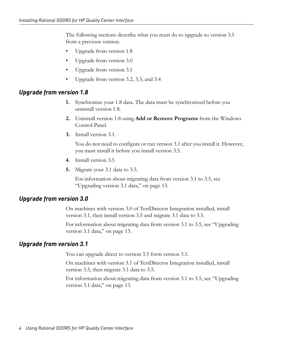The following sections describe what you must do to upgrade to version 3.5 from a previous version.

- [Upgrade from version 1.8](#page-11-0)
- [Upgrade from version 3.0](#page-11-1)
- [Upgrade from version 3.1](#page-11-2)
- [Upgrade from version 3.2, 3.3, and 3.4](#page-12-0)

#### <span id="page-11-0"></span>*Upgrade from version 1.8*

- **1.** Synchronize your 1.8 data. The data must be synchronized before you uninstall version 1.8.
- **2.** Uninstall version 1.8 using **Add or Remove Programs** from the Windows Control Panel.
- **3.** Install version 3.1.

You do not need to configure or run version 3.1 after you install it. However, you must install it before you install version 3.5.

- **4.** Install version 3.5
- **5.** Migrate your 3.1 data to 3.5.

For information about migrating data from version 3.1 to 3.5, see ["Upgrading version 3.1 data," on page 13](#page-20-1).

#### <span id="page-11-1"></span>*Upgrade from version 3.0*

On machines with version 3.0 of TestDirector Integration installed, install version 3.1, then install version 3.5 and migrate 3.1 data to 3.5.

For information about migrating data from version 3.1 to 3.5, see ["Upgrading](#page-20-1)  [version 3.1 data," on page 13](#page-20-1).

#### <span id="page-11-2"></span>*Upgrade from version 3.1*

You can upgrade direct to version 3.5 form version 3.1.

On machines with version 3.1 of TestDirector Integration installed, install version 3.5, then migrate 3.1 data to 3.5.

For information about migrating data from version 3.1 to 3.5, see ["Upgrading](#page-20-1)  [version 3.1 data," on page 13](#page-20-1).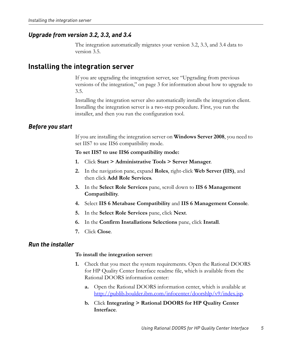### <span id="page-12-0"></span>*Upgrade from version 3.2, 3.3, and 3.4*

The integration automatically migrates your version 3.2, 3.3, and 3.4 data to version 3.5.

## <span id="page-12-4"></span><span id="page-12-1"></span>**Installing the integration server**

If you are upgrading the integration server, see ["Upgrading from previous](#page-10-2)  [versions of the integration," on page 3](#page-10-2) for information about how to upgrade to 3.5.

Installing the integration server also automatically installs the integration client. Installing the integration server is a two-step procedure. First, you run the installer, and then you run the configuration tool.

### <span id="page-12-2"></span>*Before you start*

<span id="page-12-5"></span>If you are installing the integration server on **Windows Server 2008**, you need to set IIS7 to use IIS6 compatibility mode.

#### **To set IIS7 to use IIS6 compatibility mode:**

- **1.** Click **Start > Administrative Tools > Server Manager**.
- **2.** In the navigation pane, expand **Roles**, right-click **Web Server (IIS)**, and then click **Add Role Services**.
- **3.** In the **Select Role Services** pane, scroll down to **IIS 6 Management Compatibility**.
- **4.** Select **IIS 6 Metabase Compatibility** and **IIS 6 Management Console**.
- **5.** In the **Select Role Services** pane, click **Next**.
- **6.** In the **Confirm Installations Selections** pane, click **Install**.
- **7.** Click **Close**.

#### <span id="page-12-3"></span>*Run the installer*

#### **To install the integration server:**

- **1.** Check that you meet the system requirements. Open the Rational DOORS for HP Quality Center Interface readme file, which is available from the Rational DOORS information center:
	- **a.** Open the Rational DOORS information center, which is available at http://publib.boulder.ibm.com/infocenter/doorshlp/v9/index.jsp.
	- **b.** Click **Integrating > Rational DOORS for HP Quality Center Interface**.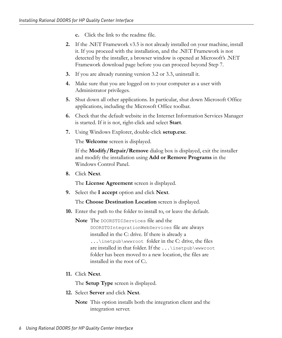- **c.** Click the link to the readme file.
- **2.** If the .NET Framework v3.5 is not already installed on your machine, install it. If you proceed with the installation, and the .NET Framework is not detected by the installer, a browser window is opened at Microsoft's .NET Framework download page before you can proceed beyond [Step 7](#page-13-0).
- **3.** If you are already running version 3.2 or 3.3, uninstall it.
- **4.** Make sure that you are logged on to your computer as a user with Administrator privileges.
- **5.** Shut down all other applications. In particular, shut down Microsoft Office applications, including the Microsoft Office toolbar.
- **6.** Check that the default website in the Internet Information Services Manager is started. If it is not, right-click and select **Start**.
- <span id="page-13-0"></span>**7.** Using Windows Explorer, double-click **setup.exe**.

The **Welcome** screen is displayed.

If the **Modify/Repair/Remove** dialog box is displayed, exit the installer and modify the installation using **Add or Remove Programs** in the Windows Control Panel.

**8.** Click **Next**.

The **License Agreement** screen is displayed.

**9.** Select the **I accept** option and click **Next**.

The **Choose Destination Location** screen is displayed.

**10.** Enter the path to the folder to install to, or leave the default.

**Note** The DOORSTDIServices file and the

DOORSTDIntegrationWebServices file are always installed in the C: drive. If there is already a ...\inetpub\wwwroot folder in the C: drive, the files are installed in that folder. If the ...\inetpub\wwwroot folder has been moved to a new location, the files are installed in the root of C:.

**11.** Click **Next**.

The **Setup Type** screen is displayed.

**12.** Select **Server** and click **Next**.

**Note** This option installs both the integration client and the integration server.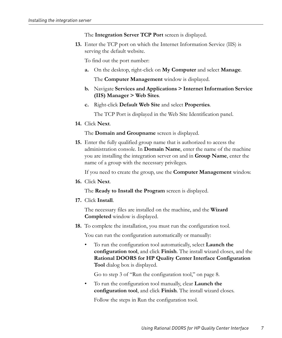The **Integration Server TCP Port** screen is displayed.

<span id="page-14-1"></span>**13.** Enter the TCP port on which the Internet Information Service (IIS) is serving the default website.

To find out the port number:

**a.** On the desktop, right-click on **My Computer** and select **Manage**.

The **Computer Management** window is displayed.

- **b.** Navigate **Services and Applications > Internet Information Service (IIS) Manager > Web Sites**.
- **c.** Right-click **Default Web Site** and select **Properties**.

The TCP Port is displayed in the Web Site Identification panel.

**14.** Click **Next**.

The **Domain and Groupname** screen is displayed.

<span id="page-14-0"></span>**15.** Enter the fully qualified group name that is authorized to access the administration console. In **Domain Name**, enter the name of the machine you are installing the integration server on and in **Group Name**, enter the name of a group with the necessary privileges.

If you need to create the group, use the **Computer Management** window.

**16.** Click **Next**.

The **Ready to Install the Program** screen is displayed.

**17.** Click **Install**.

The necessary files are installed on the machine, and the **Wizard Completed** window is displayed.

**18.** To complete the installation, you must run the configuration tool.

You can run the configuration automatically or manually:

• To run the configuration tool automatically, select **Launch the configuration tool**, and click **Finish**. The install wizard closes, and the **Rational DOORS for HP Quality Center Interface Configuration Tool** dialog box is displayed.

Go to [step 3](#page-15-1) of ["Run the configuration tool," on page 8](#page-15-0).

• To run the configuration tool manually, clear **Launch the configuration tool**, and click **Finish**. The install wizard closes.

Follow the steps in [Run the configuration tool.](#page-15-0)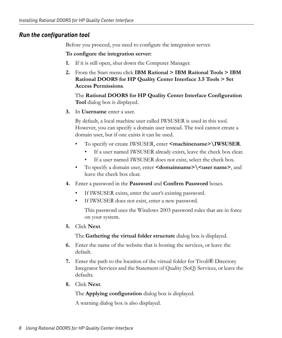### <span id="page-15-0"></span>*Run the configuration tool*

Before you proceed, you need to configure the integration server.

#### **To configure the integration server:**

- **1.** If it is still open, shut down the Computer Manager.
- **2.** From the Start menu click **IBM Rational > IBM Rational Tools > IBM Rational DOORS for HP Quality Center Interface 3.5 Tools > Set Access Permissions**.

The **Rational DOORS for HP Quality Center Interface Configuration Tool** dialog box is displayed.

<span id="page-15-1"></span>**3.** In **Username** enter a user.

By default, a local machine user called IWSUSER is used in this tool. However, you can specify a domain user instead. The tool cannot create a domain user, but if one exists it can be used.

- To specify or create IWSUSER, enter **<machinename>\IWSUSER**.
	- If a user named IWSUSER already exists, leave the check box clear.
	- If a user named IWSUSER does not exist, select the check box.
- To specify a domain user, enter **<domainname>** $\langle$  **<user name>**, and leave the check box clear.
- **4.** Enter a password in the **Password** and **Confirm Password** boxes.
	- If IWSUSER exists, enter the user's existing password.
	- If IWSUSER does not exist, enter a new password.

This password uses the Windows 2003 password rules that are in force on your system.

**5.** Click **Next**.

The **Gathering the virtual folder structure** dialog box is displayed.

- **6.** Enter the name of the website that is hosting the services, or leave the default.
- **7.** Enter the path to the location of the virtual folder for Tivoli® Directory Integrator Services and the Statement of Quality (SoQ) Services, or leave the defaults.
- **8.** Click **Next**.

The **Applying configuration** dialog box is displayed.

A warning dialog box is also displayed.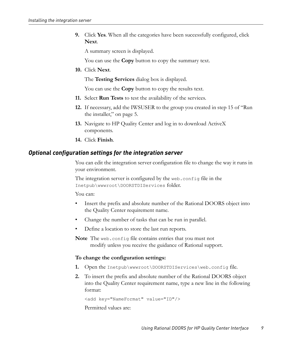**9.** Click **Yes**. When all the categories have been successfully configured, click **Next**.

A summary screen is displayed.

You can use the **Copy** button to copy the summary text.

**10.** Click **Next**.

The **Testing Services** dialog box is displayed.

You can use the **Copy** button to copy the results text.

- **11.** Select **Run Tests** to test the availability of the services.
- **12.** If necessary, add the IWSUSER to the group you created in [step 15](#page-14-0) of ["Run](#page-12-3)  [the installer," on page 5](#page-12-3).
- **13.** Navigate to HP Quality Center and log in to download ActiveX components.
- <span id="page-16-1"></span>**14.** Click **Finish**.

#### <span id="page-16-0"></span>*Optional configuration settings for the integration server*

You can edit the integration server configuration file to change the way it runs in your environment.

The integration server is configured by the web.config file in the Inetpub\wwwroot\DOORSTDIServices folder.

You can:

- Insert the prefix and absolute number of the Rational DOORS object into the Quality Center requirement name.
- Change the number of tasks that can be run in parallel.
- Define a location to store the last run reports.

**Note** The web.config file contains entries that you must not modify unless you receive the guidance of Rational support.

#### **To change the configuration settings:**

- **1.** Open the Inetpub\wwwroot\DOORSTDIServices\web.config file.
- **2.** To insert the prefix and absolute number of the Rational DOORS object into the Quality Center requirement name, type a new line in the following format:

<add key="NameFormat" value="ID"/>

Permitted values are: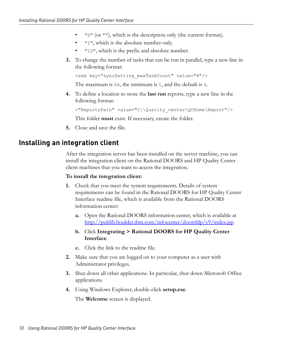- "D" (or ""), which is the description only (the current format).
- "I", which is the absolute number only.
- "ID", which is the prefix and absolute number.
- **3.** To change the number of tasks that can be run in parallel, type a new line in the following format:

```
<add key="syncSetting_maxTaskCount" value="8"/>
```
The maximum is 64, the minimum is 1, and the default is 4.

**4.** To define a location to store the **last run** reports, type a new line in the following format:

```
<"ReportsPath" value="C:\Quality_center\QCHome\Report"/>
```
This folder **must** exist. If necessary, create the folder.

**5.** Close and save the file.

## <span id="page-17-1"></span><span id="page-17-0"></span>**Installing an integration client**

After the integration server has been installed on the server machine, you can install the integration client on the Rational DOORS and HP Quality Center client machines that you want to access the integration.

#### **To install the integration client:**

- **1.** Check that you meet the system requirements. Details of system requirements can be found in the Rational DOORS for HP Quality Center Interface readme file, which is available from the Rational DOORS information center:
	- **a.** Open the Rational DOORS information center, which is available at http://publib.boulder.ibm.com/infocenter/doorshlp/v9/index.jsp.
	- **b.** Click **Integrating > Rational DOORS for HP Quality Center Interface**.
	- **c.** Click the link to the readme file.
- **2.** Make sure that you are logged on to your computer as a user with Administrator privileges.
- **3.** Shut down all other applications. In particular, shut down Microsoft Office applications.
- **4.** Using Windows Explorer, double-click **setup.exe**.

The **Welcome** screen is displayed.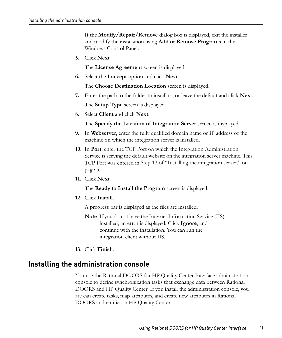If the **Modify/Repair/Remove** dialog box is displayed, exit the installer and modify the installation using **Add or Remove Programs** in the Windows Control Panel.

**5.** Click **Next**.

The **License Agreement** screen is displayed.

**6.** Select the **I accept** option and click **Next**.

The **Choose Destination Location** screen is displayed.

- **7.** Enter the path to the folder to install to, or leave the default and click **Next**. The **Setup Type** screen is displayed.
- **8.** Select **Client** and click **Next**.

The **Specify the Location of Integration Server** screen is displayed.

- **9.** In **Webserver**, enter the fully qualified domain name or IP address of the machine on which the integration server is installed.
- **10.** In **Port**, enter the TCP Port on which the Integration Administration Service is serving the default website on the integration server machine. This TCP Port was entered in [Step 13](#page-14-1) of ["Installing the integration server," on](#page-12-1)  [page 5.](#page-12-1)
- **11.** Click **Next**.

The **Ready to Install the Program** screen is displayed.

**12.** Click **Install**.

A progress bar is displayed as the files are installed.

- **Note** If you do not have the Internet Information Service (IIS) installed, an error is displayed. Click **Ignore**, and continue with the installation. You can run the integration client without IIS.
- <span id="page-18-1"></span>**13.** Click **Finish**.

## <span id="page-18-2"></span><span id="page-18-0"></span>**Installing the administration console**

You use the Rational DOORS for HP Quality Center Interface administration console to define synchronization tasks that exchange data between Rational DOORS and HP Quality Center. If you install the administration console, you are can create tasks, map attributes, and create new attributes in Rational DOORS and entities in HP Quality Center.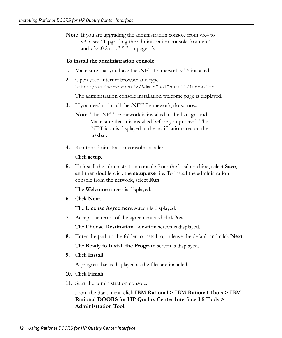**Note** If you are upgrading the administration console from v3.4 to v3.5, see ["Upgrading the administration console from v3.4](#page-20-0)  [and v3.4.0.2 to v3.5," on page 13.](#page-20-0)

#### **To install the administration console:**

- **1.** Make sure that you have the .NET Framework v3.5 installed.
- **2.** Open your Internet browser and type http://<*qciserver*:*port*>/AdminToolInstall/index.htm.

The administration console installation welcome page is displayed.

**3.** If you need to install the .NET Framework, do so now.

**Note** The .NET Framework is installed in the background. Make sure that it is installed before you proceed. The .NET icon is displayed in the notification area on the taskbar.

**4.** Run the administration console installer.

Click **setup**.

**5.** To install the administration console from the local machine, select **Save**, and then double-click the **setup.exe** file. To install the administration console from the network, select **Run**.

The **Welcome** screen is displayed.

**6.** Click **Next**.

The **License Agreement** screen is displayed.

**7.** Accept the terms of the agreement and click **Yes**.

The **Choose Destination Location** screen is displayed.

- **8.** Enter the path to the folder to install to, or leave the default and click **Next**. The **Ready to Install the Program** screen is displayed.
- **9.** Click **Install**.

A progress bar is displayed as the files are installed.

- **10.** Click **Finish**.
- **11.** Start the administration console.

From the Start menu click **IBM Rational > IBM Rational Tools > IBM Rational DOORS for HP Quality Center Interface 3.5 Tools > Administration Tool**.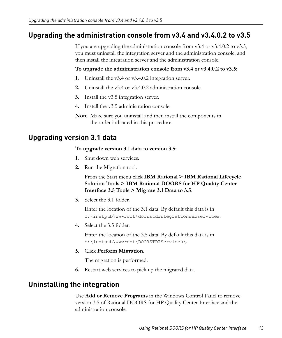# <span id="page-20-0"></span>**Upgrading the administration console from v3.4 and v3.4.0.2 to v3.5**

<span id="page-20-3"></span>If you are upgrading the administration console from v3.4 or v3.4.0.2 to v3.5, you must uninstall the integration server and the administration console, and then install the integration server and the administration console.

#### **To upgrade the administration console from v3.4 or v3.4.0.2 to v3.5:**

- **1.** Uninstall the v3.4 or v3.4.0.2 integration server.
- **2.** Uninstall the v3.4 or v3.4.0.2 administration console.
- **3.** Install the v3.5 integration server.
- **4.** Install the v3.5 administration console.
- **Note** Make sure you uninstall and then install the components in the order indicated in this procedure.

# <span id="page-20-4"></span><span id="page-20-1"></span>**Upgrading version 3.1 data**

#### **To upgrade version 3.1 data to version 3.5:**

- **1.** Shut down web services.
- **2.** Run the Migration tool.

From the Start menu click **IBM Rational > IBM Rational Lifecycle Solution Tools > IBM Rational DOORS for HP Quality Center Interface 3.5 Tools > Migrate 3.1 Data to 3.5**.

**3.** Select the 3.1 folder.

Enter the location of the 3.1 data. By default this data is in c:\inetpub\wwwroot\doorstdintegrationwebservices.

**4.** Select the 3.5 folder.

Enter the location of the 3.5 data. By default this data is in c:\inetpub\wwwroot\DOORSTDIServices\.

**5.** Click **Perform Migration**.

The migration is performed.

**6.** Restart web services to pick up the migrated data.

# <span id="page-20-5"></span><span id="page-20-2"></span>**Uninstalling the integration**

Use **Add or Remove Programs** in the Windows Control Panel to remove version 3.5 of Rational DOORS for HP Quality Center Interface and the administration console.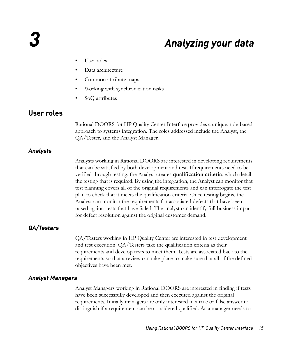# <span id="page-22-5"></span>*3 Analyzing your data*

- <span id="page-22-0"></span>• [User roles](#page-22-1)
- [Data architecture](#page-23-1)
- [Common attribute maps](#page-24-0)
- [Working with synchronization tasks](#page-24-1)
- [SoQ attributes](#page-27-1)

## <span id="page-22-7"></span><span id="page-22-1"></span>**User roles**

Rational DOORS for HP Quality Center Interface provides a unique, role-based approach to systems integration. The roles addressed include the Analyst, the QA/Tester, and the Analyst Manager.

#### <span id="page-22-2"></span>*Analysts*

<span id="page-22-6"></span>Analysts working in Rational DOORS are interested in developing requirements that can be satisfied by both development and test. If requirements need to be verified through testing, the Analyst creates **qualification criteria**, which detail the testing that is required. By using the integration, the Analyst can monitor that test planning covers all of the original requirements and can interrogate the test plan to check that it meets the qualification criteria. Once testing begins, the Analyst can monitor the requirements for associated defects that have been raised against tests that have failed. The analyst can identify full business impact for defect resolution against the original customer demand.

### <span id="page-22-3"></span>*QA/Testers*

QA/Testers working in HP Quality Center are interested in test development and test execution. QA/Testers take the qualification criteria as their requirements and develop tests to meet them. Tests are associated back to the requirements so that a review can take place to make sure that all of the defined objectives have been met.

#### <span id="page-22-4"></span>*Analyst Managers*

Analyst Managers working in Rational DOORS are interested in finding if tests have been successfully developed and then executed against the original requirements. Initially managers are only interested in a true or false answer to distinguish if a requirement can be considered qualified. As a manager needs to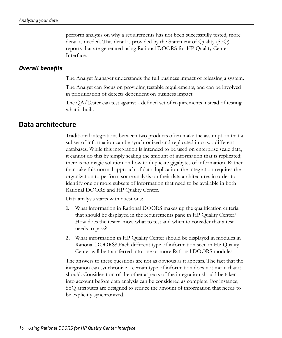perform analysis on why a requirements has not been successfully tested, more detail is needed. This detail is provided by the Statement of Quality (SoQ) reports that are generated using Rational DOORS for HP Quality Center Interface.

#### <span id="page-23-0"></span>*Overall benefits*

The Analyst Manager understands the full business impact of releasing a system.

The Analyst can focus on providing testable requirements, and can be involved in prioritization of defects dependent on business impact.

The QA/Tester can test against a defined set of requirements instead of testing what is built.

## <span id="page-23-2"></span><span id="page-23-1"></span>**Data architecture**

Traditional integrations between two products often make the assumption that a subset of information can be synchronized and replicated into two different databases. While this integration is intended to be used on enterprise scale data, it cannot do this by simply scaling the amount of information that is replicated; there is no magic solution on how to duplicate gigabytes of information. Rather than take this normal approach of data duplication, the integration requires the organization to perform some analysis on their data architectures in order to identify one or more subsets of information that need to be available in both Rational DOORS and HP Quality Center.

Data analysis starts with questions:

- **1.** What information in Rational DOORS makes up the qualification criteria that should be displayed in the requirements pane in HP Quality Center? How does the tester know what to test and when to consider that a test needs to pass?
- **2.** What information in HP Quality Center should be displayed in modules in Rational DOORS? Each different type of information seen in HP Quality Center will be transferred into one or more Rational DOORS modules.

The answers to these questions are not as obvious as it appears. The fact that the integration can synchronize a certain type of information does not mean that it should. Consideration of the other aspects of the integration should be taken into account before data analysis can be considered as complete. For instance, SoQ attributes are designed to reduce the amount of information that needs to be explicitly synchronized.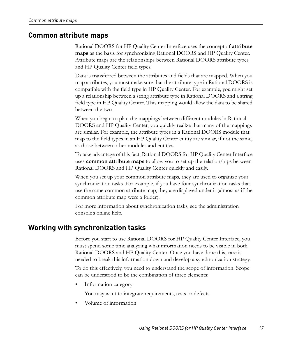## <span id="page-24-0"></span>**Common attribute maps**

<span id="page-24-2"></span>Rational DOORS for HP Quality Center Interface uses the concept of **attribute maps** as the basis for synchronizing Rational DOORS and HP Quality Center. Attribute maps are the relationships between Rational DOORS attribute types and HP Quality Center field types.

Data is transferred between the attributes and fields that are mapped. When you map attributes, you must make sure that the attribute type in Rational DOORS is compatible with the field type in HP Quality Center. For example, you might set up a relationship between a string attribute type in Rational DOORS and a string field type in HP Quality Center. This mapping would allow the data to be shared between the two.

When you begin to plan the mappings between different modules in Rational DOORS and HP Quality Center, you quickly realize that many of the mappings are similar. For example, the attribute types in a Rational DOORS module that map to the field types in an HP Quality Center entity are similar, if not the same, as those between other modules and entities.

To take advantage of this fact, Rational DOORS for HP Quality Center Interface uses **common attribute maps** to allow you to set up the relationships between Rational DOORS and HP Quality Center quickly and easily.

When you set up your common attribute maps, they are used to organize your synchronization tasks. For example, if you have four synchronization tasks that use the same common attribute map, they are displayed under it (almost as if the common attribute map were a folder).

For more information about synchronization tasks, see the administration console's online help.

## <span id="page-24-3"></span><span id="page-24-1"></span>**Working with synchronization tasks**

Before you start to use Rational DOORS for HP Quality Center Interface, you must spend some time analyzing what information needs to be visible in both Rational DOORS and HP Quality Center. Once you have done this, care is needed to break this information down and develop a synchronization strategy.

To do this effectively, you need to understand the scope of information. Scope can be understood to be the combination of three elements:

Information category

You may want to integrate requirements, tests or defects.

• Volume of information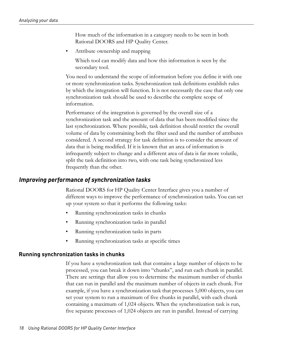How much of the information in a category needs to be seen in both Rational DOORS and HP Quality Center.

• Attribute ownership and mapping

Which tool can modify data and how this information is seen by the secondary tool.

You need to understand the scope of information before you define it with one or more synchronization tasks. Synchronization task definitions establish rules by which the integration will function. It is not necessarily the case that only one synchronization task should be used to describe the complete scope of information.

Performance of the integration is governed by the overall size of a synchronization task and the amount of data that has been modified since the last synchronization. Where possible, task definition should restrict the overall volume of data by constraining both the filter used and the number of attributes considered. A second strategy for task definition is to consider the amount of data that is being modified. If it is known that an area of information is infrequently subject to change and a different area of data is far more volatile, split the task definition into two, with one task being synchronized less frequently than the other.

#### <span id="page-25-0"></span>*Improving performance of synchronization tasks*

<span id="page-25-2"></span>Rational DOORS for HP Quality Center Interface gives you a number of different ways to improve the performance of synchronization tasks. You can set up your system so that it performs the following tasks:

- Running synchronization tasks in chunks
- Running synchronization tasks in parallel
- Running synchronization tasks in parts
- <span id="page-25-1"></span>• Running synchronization tasks at specific times

#### **Running synchronization tasks in chunks**

If you have a synchronization task that contains a large number of objects to be processed, you can break it down into "chunks", and run each chunk in parallel. There are settings that allow you to determine the maximum number of chunks that can run in parallel and the maximum number of objects in each chunk. For example, if you have a synchronization task that processes 5,000 objects, you can set your system to run a maximum of five chunks in parallel, with each chunk containing a maximum of 1,024 objects. When the synchronization task is run, five separate processes of 1,024 objects are run in parallel. Instead of carrying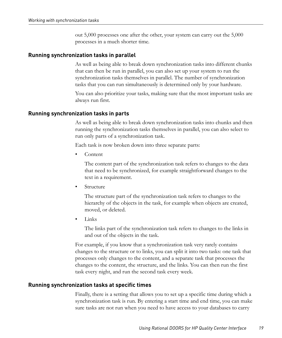<span id="page-26-1"></span>out 5,000 processes one after the other, your system can carry out the 5,000 processes in a much shorter time.

#### **Running synchronization tasks in parallel**

As well as being able to break down synchronization tasks into different chunks that can then be run in parallel, you can also set up your system to run the synchronization tasks themselves in parallel. The number of synchronization tasks that you can run simultaneously is determined only by your hardware.

You can also prioritize your tasks, making sure that the most important tasks are always run first.

#### **Running synchronization tasks in parts**

<span id="page-26-2"></span>As well as being able to break down synchronization tasks into chunks and then running the synchronization tasks themselves in parallel, you can also select to run only parts of a synchronization task.

Each task is now broken down into three separate parts:

• Content

The content part of the synchronization task refers to changes to the data that need to be synchronized, for example straightforward changes to the text in a requirement.

**Structure** 

The structure part of the synchronization task refers to changes to the hierarchy of the objects in the task, for example when objects are created, moved, or deleted.

• Links

The links part of the synchronization task refers to changes to the links in and out of the objects in the task.

For example, if you know that a synchronization task very rarely contains changes to the structure or to links, you can split it into two tasks: one task that processes only changes to the content, and a separate task that processes the changes to the content, the structure, and the links. You can then run the first task every night, and run the second task every week.

#### **Running synchronization tasks at specific times**

<span id="page-26-0"></span>Finally, there is a setting that allows you to set up a specific time during which a synchronization task is run. By entering a start time and end time, you can make sure tasks are not run when you need to have access to your databases to carry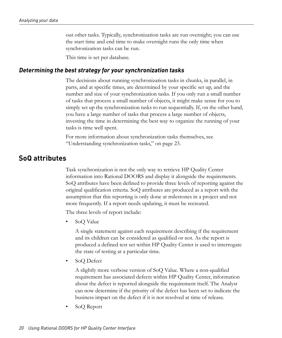out other tasks. Typically, synchronization tasks are run overnight; you can use the start time and end time to make overnight runs the only time when synchronization tasks can be run.

<span id="page-27-3"></span>This time is set per database.

#### <span id="page-27-0"></span>*Determining the best strategy for your synchronization tasks*

The decisions about running synchronization tasks in chunks, in parallel, in parts, and at specific times, are determined by your specific set up, and the number and size of your synchronization tasks. If you only run a small number of tasks that process a small number of objects, it might make sense for you to simply set up the synchronization tasks to run sequentially. If, on the other hand, you have a large number of tasks that process a large number of objects, investing the time in determining the best way to organize the running of your tasks is time well spent.

<span id="page-27-2"></span>For more information about synchronization tasks themselves, see ["Understanding synchronization tasks," on page 23.](#page-30-2)

## <span id="page-27-1"></span>**SoQ attributes**

Task synchronization is not the only way to retrieve HP Quality Center information into Rational DOORS and display it alongside the requirements. SoQ attributes have been defined to provide three levels of reporting against the original qualification criteria. SoQ attributes are produced as a report with the assumption that this reporting is only done at milestones in a project and not more frequently. If a report needs updating, it must be recreated.

The three levels of report include:

• SoQ Value

A single statement against each requirement describing if the requirement and its children can be considered as qualified or not. As the report is produced a defined test set within HP Quality Center is used to interrogate the state of testing at a particular time.

• SoQ Defect

A slightly more verbose version of SoQ Value. Where a non-qualified requirement has associated defects within HP Quality Center, information about the defect is reported alongside the requirement itself. The Analyst can now determine if the priority of the defect has been set to indicate the business impact on the defect if it is not resolved at time of release.

• SoQ Report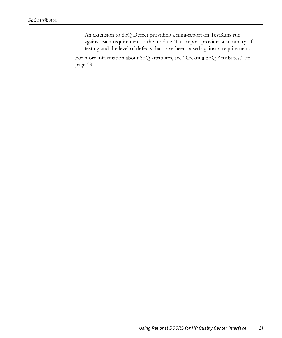An extension to SoQ Defect providing a mini-report on TestRuns run against each requirement in the module. This report provides a summary of testing and the level of defects that have been raised against a requirement.

For more information about SoQ attributes, see ["Creating SoQ Attributes," on](#page-46-3)  [page 39.](#page-46-3)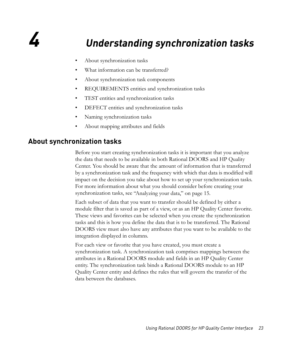# <span id="page-30-0"></span>*4 Understanding synchronization tasks*

- <span id="page-30-2"></span>• [About synchronization tasks](#page-30-1)
- [What information can be transferred?](#page-31-0)
- [About synchronization task components](#page-32-0)
- [REQUIREMENTS entities and synchronization tasks](#page-34-0)
- [TEST entities and synchronization tasks](#page-35-0)
- [DEFECT entities and synchronization tasks](#page-35-1)
- [Naming synchronization tasks](#page-36-0)
- [About mapping attributes and fields](#page-36-1)

# <span id="page-30-1"></span>**About synchronization tasks**

Before you start creating synchronization tasks it is important that you analyze the data that needs to be available in both Rational DOORS and HP Quality Center. You should be aware that the amount of information that is transferred by a synchronization task and the frequency with which that data is modified will impact on the decision you take about how to set up your synchronization tasks. For more information about what you should consider before creating your synchronization tasks, see ["Analyzing your data," on page 15.](#page-22-5)

Each subset of data that you want to transfer should be defined by either a module filter that is saved as part of a view, or as an HP Quality Center favorite. These views and favorites can be selected when you create the synchronization tasks and this is how you define the data that is to be transferred. The Rational DOORS view must also have any attributes that you want to be available to the integration displayed in columns.

For each view or favorite that you have created, you must create a synchronization task. A synchronization task comprises mappings between the attributes in a Rational DOORS module and fields in an HP Quality Center entity. The synchronization task binds a Rational DOORS module to an HP Quality Center entity and defines the rules that will govern the transfer of the data between the databases.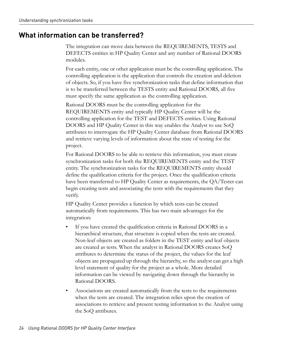# <span id="page-31-0"></span>**What information can be transferred?**

The integration can move data between the REQUIREMENTS, TESTS and DEFECTS entities in HP Quality Center and any number of Rational DOORS modules.

For each entity, one or other application must be the controlling application. The controlling application is the application that controls the creation and deletion of objects. So, if you have five synchronization tasks that define information that is to be transferred between the TESTS entity and Rational DOORS, all five must specify the same application as the controlling application.

Rational DOORS must be the controlling application for the REQUIREMENTS entity and typically HP Quality Center will be the controlling application for the TEST and DEFECTS entities. Using Rational DOORS and HP Quality Center in this way enables the Analyst to use SoQ attributes to interrogate the HP Quality Center database from Rational DOORS and retrieve varying levels of information about the state of testing for the project.

For Rational DOORS to be able to retrieve this information, you must create synchronization tasks for both the REQUIREMENTS entity and the TEST entity. The synchronization tasks for the REQUIREMENTS entity should define the qualification criteria for the project. Once the qualification criteria have been transferred to HP Quality Center as requirements, the QA/Tester can begin creating tests and associating the tests with the requirements that they verify.

HP Quality Center provides a function by which tests can be created automatically from requirements. This has two main advantages for the integration:

- If you have created the qualification criteria in Rational DOORS in a hierarchical structure, that structure is copied when the tests are created. Non-leaf objects are created as folders in the TEST entity and leaf objects are created as tests. When the analyst in Rational DOORS creates SoQ attributes to determine the status of the project, the values for the leaf objects are propagated up through the hierarchy, so the analyst can get a high level statement of quality for the project as a whole. More detailed information can be viewed by navigating down through the hierarchy in Rational DOORS.
- Associations are created automatically from the tests to the requirements when the tests are created. The integration relies upon the creation of associations to retrieve and present testing information to the Analyst using the SoQ attributes.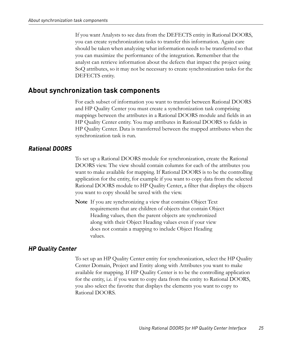If you want Analysts to see data from the DEFECTS entity in Rational DOORS, you can create synchronization tasks to transfer this information. Again care should be taken when analyzing what information needs to be transferred so that you can maximize the performance of the integration. Remember that the analyst can retrieve information about the defects that impact the project using SoQ attributes, so it may not be necessary to create synchronization tasks for the DEFECTS entity.

## <span id="page-32-0"></span>**About synchronization task components**

For each subset of information you want to transfer between Rational DOORS and HP Quality Center you must create a synchronization task comprising mappings between the attributes in a Rational DOORS module and fields in an HP Quality Center entity. You map attributes in Rational DOORS to fields in HP Quality Center. Data is transferred between the mapped attributes when the synchronization task is run.

### <span id="page-32-1"></span>*Rational DOORS*

To set up a Rational DOORS module for synchronization, create the Rational DOORS view. The view should contain columns for each of the attributes you want to make available for mapping. If Rational DOORS is to be the controlling application for the entity, for example if you want to copy data from the selected Rational DOORS module to HP Quality Center, a filter that displays the objects you want to copy should be saved with the view.

**Note** If you are synchronizing a view that contains Object Text requirements that are children of objects that contain Object Heading values, then the parent objects are synchronized along with their Object Heading values even if your view does not contain a mapping to include Object Heading values.

### <span id="page-32-2"></span>*HP Quality Center*

To set up an HP Quality Center entity for synchronization, select the HP Quality Center Domain, Project and Entity along with Attributes you want to make available for mapping. If HP Quality Center is to be the controlling application for the entity, i.e. if you want to copy data from the entity to Rational DOORS, you also select the favorite that displays the elements you want to copy to Rational DOORS.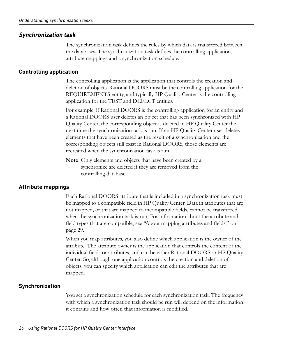### <span id="page-33-0"></span>*Synchronization task*

The synchronization task defines the rules by which data is transferred between the databases. The synchronization task defines the controlling application, attribute mappings and a synchronization schedule.

#### **Controlling application**

The controlling application is the application that controls the creation and deletion of objects. Rational DOORS must be the controlling application for the REQUIREMENTS entity, and typically HP Quality Center is the controlling application for the TEST and DEFECT entities.

For example, if Rational DOORS is the controlling application for an entity and a Rational DOORS user deletes an object that has been synchronized with HP Quality Center, the corresponding object is deleted in HP Quality Center the next time the synchronization task is run. If an HP Quality Center user deletes elements that have been created as the result of a synchronization and the corresponding objects still exist in Rational DOORS, those elements are recreated when the synchronization task is run.

**Note** Only elements and objects that have been created by a synchronize are deleted if they are removed from the controlling database.

### **Attribute mappings**

Each Rational DOORS attribute that is included in a synchronization task must be mapped to a compatible field in HP Quality Center. Data in attributes that are not mapped, or that are mapped to incompatible fields, cannot be transferred when the synchronization task is run. For information about the attribute and field types that are compatible, see ["About mapping attributes and fields," on](#page-36-1)  [page 29.](#page-36-1)

When you map attributes, you also define which application is the owner of the attribute. The attribute owner is the application that controls the content of the individual fields or attributes, and can be either Rational DOORS or HP Quality Center. So, although one application controls the creation and deletion of objects, you can specify which application can edit the attributes that are mapped.

## **Synchronization**

You set a synchronization schedule for each synchronization task. The frequency with which a synchronization task should be run will depend on the information it contains and how often that information is modified.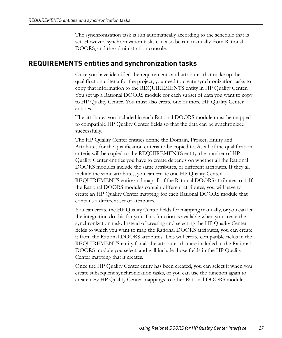The synchronization task is run automatically according to the schedule that is set. However, synchronization tasks can also be run manually from Rational DOORS, and the administration console.

## <span id="page-34-0"></span>**REQUIREMENTS entities and synchronization tasks**

Once you have identified the requirements and attributes that make up the qualification criteria for the project, you need to create synchronization tasks to copy that information to the REQUIREMENTS entity in HP Quality Center. You set up a Rational DOORS module for each subset of data you want to copy to HP Quality Center. You must also create one or more HP Quality Center entities.

The attributes you included in each Rational DOORS module must be mapped to compatible HP Quality Center fields so that the data can be synchronized successfully.

The HP Quality Center entities define the Domain, Project, Entity and Attributes for the qualification criteria to be copied to. As all of the qualification criteria will be copied to the REQUIREMENTS entity, the number of HP Quality Center entities you have to create depends on whether all the Rational DOORS modules include the same attributes, or different attributes. If they all include the same attributes, you can create one HP Quality Center REQUIREMENTS entity and map all of the Rational DOORS attributes to it. If the Rational DOORS modules contain different attributes, you will have to create an HP Quality Center mapping for each Rational DOORS module that contains a different set of attributes.

You can create the HP Quality Center fields for mapping manually, or you can let the integration do this for you. This function is available when you create the synchronization task. Instead of creating and selecting the HP Quality Center fields to which you want to map the Rational DOORS attributes, you can create it from the Rational DOORS attributes. This will create compatible fields in the REQUIREMENTS entity for all the attributes that are included in the Rational DOORS module you select, and will include those fields in the HP Quality Center mapping that it creates.

Once the HP Quality Center entity has been created, you can select it when you create subsequent synchronization tasks, or you can use the function again to create new HP Quality Center mappings to other Rational DOORS modules.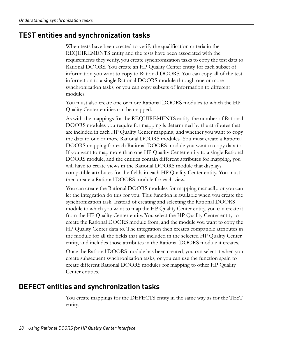# <span id="page-35-0"></span>**TEST entities and synchronization tasks**

When tests have been created to verify the qualification criteria in the REQUIREMENTS entity and the tests have been associated with the requirements they verify, you create synchronization tasks to copy the test data to Rational DOORS. You create an HP Quality Center entity for each subset of information you want to copy to Rational DOORS. You can copy all of the test information to a single Rational DOORS module through one or more synchronization tasks, or you can copy subsets of information to different modules.

You must also create one or more Rational DOORS modules to which the HP Quality Center entities can be mapped.

As with the mappings for the REQUIREMENTS entity, the number of Rational DOORS modules you require for mapping is determined by the attributes that are included in each HP Quality Center mapping, and whether you want to copy the data to one or more Rational DOORS modules. You must create a Rational DOORS mapping for each Rational DOORS module you want to copy data to. If you want to map more than one HP Quality Center entity to a single Rational DOORS module, and the entities contain different attributes for mapping, you will have to create views in the Rational DOORS module that displays compatible attributes for the fields in each HP Quality Center entity. You must then create a Rational DOORS module for each view.

You can create the Rational DOORS modules for mapping manually, or you can let the integration do this for you. This function is available when you create the synchronization task. Instead of creating and selecting the Rational DOORS module to which you want to map the HP Quality Center entity, you can create it from the HP Quality Center entity. You select the HP Quality Center entity to create the Rational DOORS module from, and the module you want to copy the HP Quality Center data to. The integration then creates compatible attributes in the module for all the fields that are included in the selected HP Quality Center entity, and includes those attributes in the Rational DOORS module it creates.

Once the Rational DOORS module has been created, you can select it when you create subsequent synchronization tasks, or you can use the function again to create different Rational DOORS modules for mapping to other HP Quality Center entities.

# <span id="page-35-1"></span>**DEFECT entities and synchronization tasks**

You create mappings for the DEFECTS entity in the same way as for the TEST entity.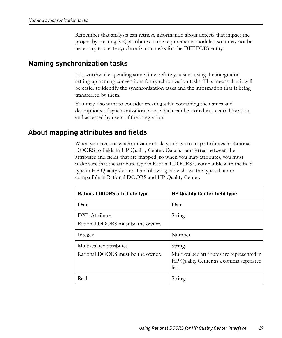Remember that analysts can retrieve information about defects that impact the project by creating SoQ attributes in the requirements modules, so it may not be necessary to create synchronization tasks for the DEFECTS entity.

## <span id="page-36-2"></span><span id="page-36-0"></span>**Naming synchronization tasks**

It is worthwhile spending some time before you start using the integration setting up naming conventions for synchronization tasks. This means that it will be easier to identify the synchronization tasks and the information that is being transferred by them.

You may also want to consider creating a file containing the names and descriptions of synchronization tasks, which can be stored in a central location and accessed by users of the integration.

## <span id="page-36-1"></span>**About mapping attributes and fields**

When you create a synchronization task, you have to map attributes in Rational DOORS to fields in HP Quality Center. Data is transferred between the attributes and fields that are mapped, so when you map attributes, you must make sure that the attribute type in Rational DOORS is compatible with the field type in HP Quality Center. The following table shows the types that are compatible in Rational DOORS and HP Quality Center.

| <b>Rational DOORS attribute type</b>                         | <b>HP Quality Center field type</b>                                                                     |
|--------------------------------------------------------------|---------------------------------------------------------------------------------------------------------|
| Date                                                         | Date                                                                                                    |
| DXL Attribute<br>Rational DOORS must be the owner.           | String                                                                                                  |
| Integer                                                      | Number                                                                                                  |
| Multi-valued attributes<br>Rational DOORS must be the owner. | String<br>Multi-valued attributes are represented in<br>HP Quality Center as a comma separated<br>list. |
| Real                                                         | String                                                                                                  |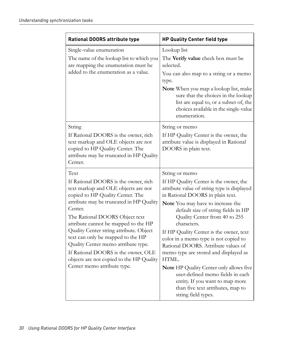| <b>Rational DOORS attribute type</b>                                                                                                                                                                                                                                                                                                                                                                                                                                                              | <b>HP Quality Center field type</b>                                                                                                                                                                                                                                                                                                                                                                                                                                                                                                                                                                                                |
|---------------------------------------------------------------------------------------------------------------------------------------------------------------------------------------------------------------------------------------------------------------------------------------------------------------------------------------------------------------------------------------------------------------------------------------------------------------------------------------------------|------------------------------------------------------------------------------------------------------------------------------------------------------------------------------------------------------------------------------------------------------------------------------------------------------------------------------------------------------------------------------------------------------------------------------------------------------------------------------------------------------------------------------------------------------------------------------------------------------------------------------------|
| Single-value enumeration<br>The name of the lookup list to which you<br>are mapping the enumeration must be<br>added to the enumeration as a value.                                                                                                                                                                                                                                                                                                                                               | Lookup list<br>The Verify value check box must be<br>selected.<br>You can also map to a string or a memo<br>type.<br>Note When you map a lookup list, make<br>sure that the choices in the lookup<br>list are equal to, or a subset of, the<br>choices available in the single-value<br>enumeration.                                                                                                                                                                                                                                                                                                                               |
| String<br>If Rational DOORS is the owner, rich<br>text markup and OLE objects are not<br>copied to HP Quality Center. The<br>attribute may be truncated in HP Quality<br>Center.                                                                                                                                                                                                                                                                                                                  | String or memo<br>If HP Quality Center is the owner, the<br>attribute value is displayed in Rational<br>DOORS in plain text.                                                                                                                                                                                                                                                                                                                                                                                                                                                                                                       |
| Text<br>If Rational DOORS is the owner, rich<br>text markup and OLE objects are not<br>copied to HP Quality Center. The<br>attribute may be truncated in HP Quality<br>Center.<br>The Rational DOORS Object text<br>attribute cannot be mapped to the HP<br>Quality Center string attribute. Object<br>text can only be mapped to the HP<br>Quality Center memo attribute type.<br>If Rational DOORS is the owner, OLE<br>objects are not copied to the HP Quality<br>Center memo attribute type. | String or memo<br>If HP Quality Center is the owner, the<br>attribute value of string type is displayed<br>in Rational DOORS in plain text.<br>Note You may have to increase the<br>default size of string fields in HP<br>Quality Center from 40 to 255<br>characters.<br>If HP Quality Center is the owner, text<br>color in a memo type is not copied to<br>Rational DOORS. Attribute values of<br>memo type are stored and displayed as<br>HTML.<br>Note HP Quality Center only allows five<br>user-defined memo fields in each<br>entity. If you want to map more<br>than five text attributes, map to<br>string field types. |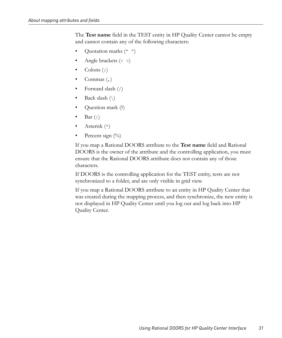The **Test name** field in the TEST entity in HP Quality Center cannot be empty and cannot contain any of the following characters:

- Quotation marks  $($ "  $'$ " $)$
- Angle brackets  $\langle \cdot \rangle$
- Colons  $(:)$
- Commas  $($ , $)$
- Forward slash (/)
- Back slash  $(\setminus)$
- Question mark (?)
- Bar  $(|)$
- Asterisk (\*)
- Percent sign  $(\%)$

If you map a Rational DOORS attribute to the **Test name** field and Rational DOORS is the owner of the attribute and the controlling application, you must ensure that the Rational DOORS attribute does not contain any of those characters.

If DOORS is the controlling application for the TEST entity, tests are not synchronized to a folder, and are only visible in grid view.

If you map a Rational DOORS attribute to an entity in HP Quality Center that was created during the mapping process, and then synchronize, the new entity is not displayed in HP Quality Center until you log out and log back into HP Quality Center.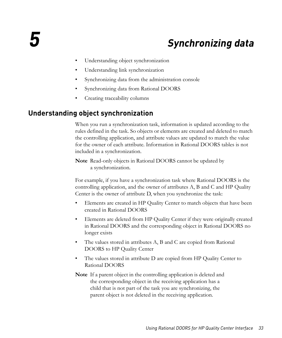# *5 Synchronizing data*

- <span id="page-40-0"></span>• [Understanding object synchronization](#page-40-1)
- [Understanding link synchronization](#page-41-0)
- [Synchronizing data from the administration console](#page-42-2)
- [Synchronizing data from Rational DOORS](#page-42-3)
- [Creating traceability columns](#page-44-0)

## <span id="page-40-1"></span>**Understanding object synchronization**

When you run a synchronization task, information is updated according to the rules defined in the task. So objects or elements are created and deleted to match the controlling application, and attribute values are updated to match the value for the owner of each attribute. Information in Rational DOORS tables is not included in a synchronization.

**Note** Read-only objects in Rational DOORS cannot be updated by a synchronization.

For example, if you have a synchronization task where Rational DOORS is the controlling application, and the owner of attributes A, B and C and HP Quality Center is the owner of attribute D, when you synchronize the task:

- Elements are created in HP Quality Center to match objects that have been created in Rational DOORS
- Elements are deleted from HP Quality Center if they were originally created in Rational DOORS and the corresponding object in Rational DOORS no longer exists
- The values stored in attributes A, B and C are copied from Rational DOORS to HP Quality Center
- The values stored in attribute D are copied from HP Quality Center to Rational DOORS
- **Note** If a parent object in the controlling application is deleted and the corresponding object in the receiving application has a child that is not part of the task you are synchronizing, the parent object is not deleted in the receiving application.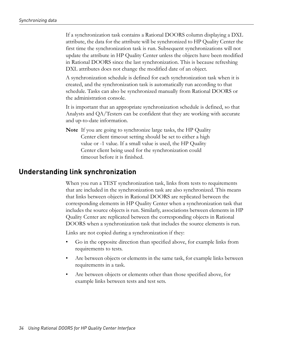If a synchronization task contains a Rational DOORS column displaying a DXL attribute, the data for the attribute will be synchronized to HP Quality Center the first time the synchronization task is run. Subsequent synchronizations will not update the attribute in HP Quality Center unless the objects have been modified in Rational DOORS since the last synchronization. This is because refreshing DXL attributes does not change the modified date of an object.

A synchronization schedule is defined for each synchronization task when it is created, and the synchronization task is automatically run according to that schedule. Tasks can also be synchronized manually from Rational DOORS or the administration console.

It is important that an appropriate synchronization schedule is defined, so that Analysts and QA/Testers can be confident that they are working with accurate and up-to-date information.

**Note** If you are going to synchronize large tasks, the HP Quality Center client timeout setting should be set to either a high value or -1 value. If a small value is used, the HP Quality Center client being used for the synchronization could timeout before it is finished.

## <span id="page-41-0"></span>**Understanding link synchronization**

When you run a TEST synchronization task, links from tests to requirements that are included in the synchronization task are also synchronized. This means that links between objects in Rational DOORS are replicated between the corresponding elements in HP Quality Center when a synchronization task that includes the source objects is run. Similarly, associations between elements in HP Quality Center are replicated between the corresponding objects in Rational DOORS when a synchronization task that includes the source elements is run.

Links are not copied during a synchronization if they:

- Go in the opposite direction than specified above, for example links from requirements to tests.
- Are between objects or elements in the same task, for example links between requirements in a task.
- Are between objects or elements other than those specified above, for example links between tests and test sets.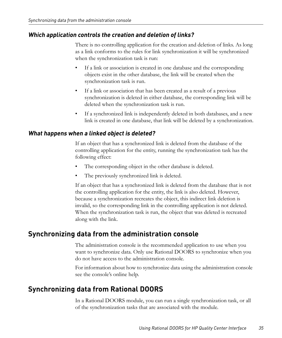### <span id="page-42-0"></span>*Which application controls the creation and deletion of links?*

There is no controlling application for the creation and deletion of links. As long as a link conforms to the rules for link synchronization it will be synchronized when the synchronization task is run:

- If a link or association is created in one database and the corresponding objects exist in the other database, the link will be created when the synchronization task is run.
- If a link or association that has been created as a result of a previous synchronization is deleted in either database, the corresponding link will be deleted when the synchronization task is run.
- If a synchronized link is independently deleted in both databases, and a new link is created in one database, that link will be deleted by a synchronization.

#### <span id="page-42-1"></span>*What happens when a linked object is deleted?*

If an object that has a synchronized link is deleted from the database of the controlling application for the entity, running the synchronization task has the following effect:

- The corresponding object in the other database is deleted.
- The previously synchronized link is deleted.

If an object that has a synchronized link is deleted from the database that is not the controlling application for the entity, the link is also deleted. However, because a synchronization recreates the object, this indirect link deletion is invalid, so the corresponding link in the controlling application is not deleted. When the synchronization task is run, the object that was deleted is recreated along with the link.

## <span id="page-42-4"></span><span id="page-42-2"></span>**Synchronizing data from the administration console**

The administration console is the recommended application to use when you want to synchronize data. Only use Rational DOORS to synchronize when you do not have access to the administration console.

For information about how to synchronize data using the administration console see the console's online help.

# <span id="page-42-5"></span><span id="page-42-3"></span>**Synchronizing data from Rational DOORS**

In a Rational DOORS module, you can run a single synchronization task, or all of the synchronization tasks that are associated with the module.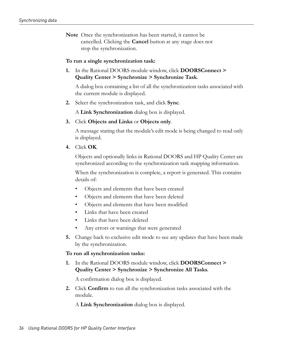**Note** Once the synchronization has been started, it cannot be cancelled. Clicking the **Cancel** button at any stage does not stop the synchronization.

#### **To run a single synchronization task:**

**1.** In the Rational DOORS module window, click **DOORSConnect > Quality Center > Synchronize > Synchronize Task**.

A dialog box containing a list of all the synchronization tasks associated with the current module is displayed.

**2.** Select the synchronization task, and click **Sync**.

A **Link Synchronization** dialog box is displayed.

**3.** Click **Objects and Links** or **Objects only**.

A message stating that the module's edit mode is being changed to read only is displayed.

**4.** Click **OK**.

Objects and optionally links in Rational DOORS and HP Quality Center are synchronized according to the synchronization task mapping information.

When the synchronization is complete, a report is generated. This contains details of:

- Objects and elements that have been created
- Objects and elements that have been deleted
- Objects and elements that have been modified
- Links that have been created
- Links that have been deleted
- Any errors or warnings that were generated
- **5.** Change back to exclusive edit mode to see any updates that have been made by the synchronization.

#### **To run all synchronization tasks:**

**1.** In the Rational DOORS module window, click **DOORSConnect > Quality Center > Synchronize > Synchronize All Tasks**.

A confirmation dialog box is displayed.

**2.** Click **Confirm** to run all the synchronization tasks associated with the module.

A **Link Synchronization** dialog box is displayed.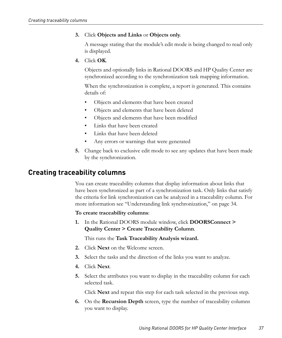#### **3.** Click **Objects and Links** or **Objects only**.

A message stating that the module's edit mode is being changed to read only is displayed.

**4.** Click **OK**.

Objects and optionally links in Rational DOORS and HP Quality Center are synchronized according to the synchronization task mapping information.

When the synchronization is complete, a report is generated. This contains details of:

- Objects and elements that have been created
- Objects and elements that have been deleted
- Objects and elements that have been modified
- Links that have been created
- Links that have been deleted
- Any errors or warnings that were generated
- **5.** Change back to exclusive edit mode to see any updates that have been made by the synchronization.

## <span id="page-44-0"></span>**Creating traceability columns**

You can create traceability columns that display information about links that have been synchronized as part of a synchronization task. Only links that satisfy the criteria for link synchronization can be analyzed in a traceability column. For more information see ["Understanding link synchronization," on page 34](#page-41-0).

#### **To create traceability columns**:

**1.** In the Rational DOORS module window, click **DOORSConnect > Quality Center > Create Traceability Column**.

This runs the **Task Traceability Analysis wizard.**

- **2.** Click **Next** on the Welcome screen.
- **3.** Select the tasks and the direction of the links you want to analyze.
- **4.** Click **Next**.
- **5.** Select the attributes you want to display in the traceability column for each selected task.

Click **Next** and repeat this step for each task selected in the previous step.

**6.** On the **Recursion Depth** screen, type the number of traceability columns you want to display.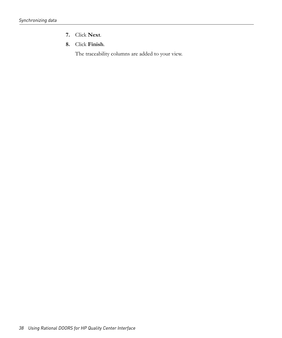- **7.** Click **Next**.
- **8.** Click **Finish**.

The traceability columns are added to your view.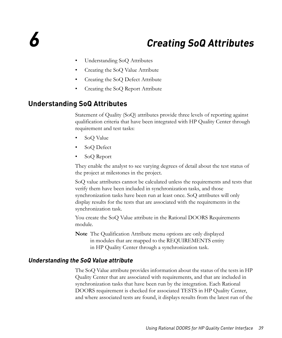# <span id="page-46-0"></span>*6 Creating SoQ Attributes*

- <span id="page-46-3"></span>• [Understanding SoQ Attributes](#page-46-1)
- [Creating the SoQ Value Attribute](#page-48-1)
- [Creating the SoQ Defect Attribute](#page-49-0)
- [Creating the SoQ Report Attribute](#page-50-0)

## <span id="page-46-4"></span><span id="page-46-1"></span>**Understanding SoQ Attributes**

Statement of Quality (SoQ) attributes provide three levels of reporting against qualification criteria that have been integrated with HP Quality Center through requirement and test tasks:

- SoQ Value
- SoQ Defect
- SoQ Report

They enable the analyst to see varying degrees of detail about the test status of the project at milestones in the project.

SoQ value attributes cannot be calculated unless the requirements and tests that verify them have been included in synchronization tasks, and those synchronization tasks have been run at least once. SoQ attributes will only display results for the tests that are associated with the requirements in the synchronization task.

You create the SoQ Value attribute in the Rational DOORS Requirements module.

**Note** The Qualification Attribute menu options are only displayed in modules that are mapped to the REQUIREMENTS entity in HP Quality Center through a synchronization task.

#### <span id="page-46-2"></span>*Understanding the SoQ Value attribute*

The SoQ Value attribute provides information about the status of the tests in HP Quality Center that are associated with requirements, and that are included in synchronization tasks that have been run by the integration. Each Rational DOORS requirement is checked for associated TESTS in HP Quality Center, and where associated tests are found, it displays results from the latest run of the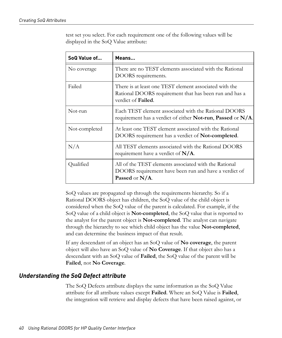test set you select. For each requirement one of the following values will be displayed in the SoQ Value attribute:

| SoQ Value of  | Means                                                                                                                                          |
|---------------|------------------------------------------------------------------------------------------------------------------------------------------------|
| No coverage   | There are no TEST elements associated with the Rational<br>DOORS requirements.                                                                 |
| Failed        | There is at least one TEST element associated with the<br>Rational DOORS requirement that has been run and has a<br>verdict of <b>Failed</b> . |
| Not-run       | Each TEST element associated with the Rational DOORS<br>requirement has a verdict of either <b>Not-run</b> , <b>Passed</b> or $N/A$ .          |
| Not-completed | At least one TEST element associated with the Rational<br>DOORS requirement has a verdict of <b>Not-completed</b> .                            |
| N/A           | All TEST elements associated with the Rational DOORS<br>requirement have a verdict of $N/A$ .                                                  |
| Qualified     | All of the TEST elements associated with the Rational<br>DOORS requirement have been run and have a verdict of<br>Passed or $N/A$ .            |

SoQ values are propagated up through the requirements hierarchy. So if a Rational DOORS object has children, the SoQ value of the child object is considered when the SoQ value of the parent is calculated. For example, if the SoQ value of a child object is **Not-completed**, the SoQ value that is reported to the analyst for the parent object is **Not-completed**. The analyst can navigate through the hierarchy to see which child object has the value **Not-completed**, and can determine the business impact of that result.

If any descendant of an object has an SoQ value of **No coverage**, the parent object will also have an SoQ value of **No Coverage**. If that object also has a descendant with an SoQ value of **Failed**, the SoQ value of the parent will be **Failed**, not **No Coverage**.

### <span id="page-47-0"></span>*Understanding the SoQ Defect attribute*

The SoQ Defects attribute displays the same information as the SoQ Value attribute for all attribute values except **Failed**. Where an SoQ Value is **Failed**, the integration will retrieve and display defects that have been raised against, or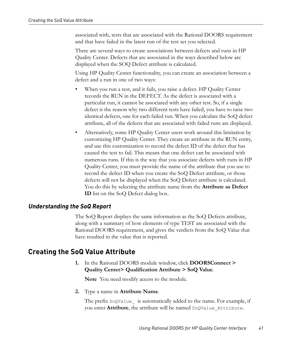associated with, tests that are associated with the Rational DOORS requirement and that have failed in the latest run of the test set you selected.

There are several ways to create associations between defects and runs in HP Quality Center. Defects that are associated in the ways described below are displayed when the SOQ Defect attribute is calculated.

Using HP Quality Center functionality, you can create an association between a defect and a run in one of two ways:

- When you run a test, and it fails, you raise a defect. HP Quality Center records the RUN in the DEFECT. As the defect is associated with a particular run, it cannot be associated with any other test. So, if a single defect is the reason why two different tests have failed, you have to raise two identical defects, one for each failed run. When you calculate the SoQ defect attribute, all of the defects that are associated with failed runs are displayed.
- Alternatively, some HP Quality Center users work around this limitation by customizing HP Quality Center. They create an attribute in the RUN entity, and use this customization to record the defect ID of the defect that has caused the test to fail. This means that one defect can be associated with numerous runs. If this is the way that you associate defects with runs in HP Quality Center, you must provide the name of the attribute that you use to record the defect ID when you create the SoQ Defect attribute, or those defects will not be displayed when the SoQ Defect attribute is calculated. You do this by selecting the attribute name from the **Attribute as Defect ID** list on the SoQ Defect dialog box.

#### <span id="page-48-0"></span>*Understanding the SoQ Report*

The SoQ Report displays the same information as the SoQ Defects attribute, along with a summary of how elements of type TEST are associated with the Rational DOORS requirement, and gives the verdicts from the SoQ Value that have resulted in the value that is reported.

## <span id="page-48-3"></span><span id="page-48-2"></span><span id="page-48-1"></span>**Creating the SoQ Value Attribute**

**1.** In the Rational DOORS module window, click **DOORSConnect > Quality Center> Qualification Attribute > SoQ Value**.

**Note** You need modify access to the module.

**2.** Type a name in **Attribute Name**.

The prefix SoQValue is automatically added to the name. For example, if you enter **Attribute**, the attribute will be named SoQValue\_Attribute.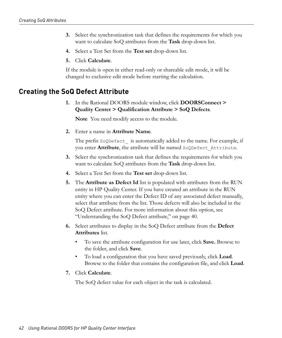- **3.** Select the synchronization task that defines the requirements for which you want to calculate SoQ attributes from the **Task** drop-down list.
- **4.** Select a Test Set from the **Test set** drop-down list.
- **5.** Click **Calculate**.

If the module is open in either read-only or shareable edit mode, it will be changed to exclusive edit mode before starting the calculation.

## <span id="page-49-2"></span><span id="page-49-0"></span>**Creating the SoQ Defect Attribute**

**1.** In the Rational DOORS module window, click **DOORSConnect > Quality Center > Qualification Attribute > SoQ Defects**.

**Note** You need modify access to the module.

**2.** Enter a name in **Attribute Name**.

The prefix Soqpefect is automatically added to the name. For example, if you enter **Attribute**, the attribute will be named SoQDefect\_Attribute.

- **3.** Select the synchronization task that defines the requirements for which you want to calculate SoQ attributes from the **Task** drop-down list.
- **4.** Select a Test Set from the **Test set** drop-down list.
- **5.** The **Attribute as Defect Id** list is populated with attributes from the RUN entity in HP Quality Center. If you have created an attribute in the RUN entity where you can enter the Defect ID of any associated defect manually, select that attribute from the list. Those defects will also be included in the SoQ Defect attribute. For more information about this option, see ["Understanding the SoQ Defect attribute," on page 40.](#page-47-0)
- <span id="page-49-1"></span>**6.** Select attributes to display in the SoQ Defect attribute from the **Defect Attributes** list.
	- To save the attribute configuration for use later, click **Save.** Browse to the folder, and click **Save**.
	- To load a configuration that you have saved previously, click **Load**. Browse to the folder that contains the configuration file, and click **Load**.
- **7.** Click **Calculate**.

The SoQ defect value for each object in the task is calculated.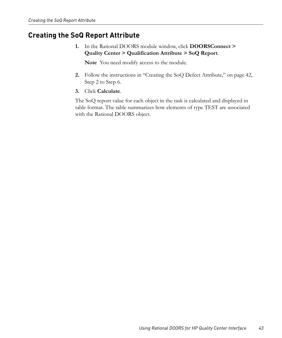# <span id="page-50-1"></span><span id="page-50-0"></span>**Creating the SoQ Report Attribute**

**1.** In the Rational DOORS module window, click **DOORSConnect > Quality Center > Qualification Attribute > SoQ Report**.

**Note** You need modify access to the module.

- **2.** Follow the instructions in ["Creating the SoQ Defect Attribute," on page 42](#page-49-0), [Step 2](#page-48-2) to [Step 6.](#page-49-1)
- **3.** Click **Calculate**.

The SoQ report value for each object in the task is calculated and displayed in table format. The table summarizes how elements of type TEST are associated with the Rational DOORS object.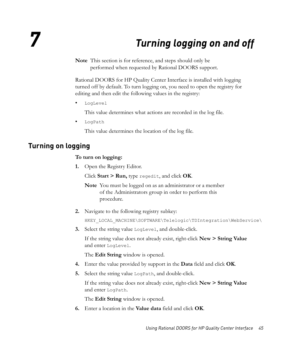# *7 Turning logging on and off*

<span id="page-52-0"></span>**Note** This section is for reference, and steps should only be performed when requested by Rational DOORS support.

Rational DOORS for HP Quality Center Interface is installed with logging turned off by default. To turn logging on, you need to open the registry for editing and then edit the following values in the registry:

• LogLevel

This value determines what actions are recorded in the log file.

• LogPath

This value determines the location of the log file.

## <span id="page-52-1"></span>**Turning on logging**

#### **To turn on logging:**

**1.** Open the Registry Editor.

Click **Start > Run,** type regedit, and click **OK**.

**Note** You must be logged on as an administrator or a member of the Administrators group in order to perform this procedure.

**2.** Navigate to the following registry subkey:

HKEY\_LOCAL\_MACHINE\SOFTWARE\Telelogic\TDIntegration\WebService\

**3.** Select the string value LogLevel, and double-click.

If the string value does not already exist, right-click **New > String Value** and enter LogLevel.

The **Edit String** window is opened.

- **4.** Enter the value provided by support in the **Data** field and click **OK**.
- **5.** Select the string value LogPath, and double-click.

If the string value does not already exist, right-click **New > String Value** and enter LogPath.

The **Edit String** window is opened.

**6.** Enter a location in the **Value data** field and click **OK**.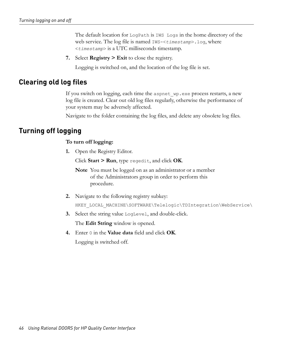The default location for LogPath is IWS Logs in the home directory of the web service. The log file is named IWS-<*timestamp*>.log, where <*timestamp*> is a UTC milliseconds timestamp.

**7.** Select **Registry > Exit** to close the registry.

Logging is switched on, and the location of the log file is set.

## <span id="page-53-0"></span>**Clearing old log files**

If you switch on logging, each time the aspnet\_wp.exe process restarts, a new log file is created. Clear out old log files regularly, otherwise the performance of your system may be adversely affected.

Navigate to the folder containing the log files, and delete any obsolete log files.

## <span id="page-53-1"></span>**Turning off logging**

#### **To turn off logging:**

**1.** Open the Registry Editor.

Click **Start > Run**, type regedit, and click **OK**.

**Note** You must be logged on as an administrator or a member of the Administrators group in order to perform this procedure.

- **2.** Navigate to the following registry subkey: HKEY\_LOCAL\_MACHINE\SOFTWARE\Telelogic\TDIntegration\WebService\
- **3.** Select the string value LogLevel, and double-click.

The **Edit String** window is opened.

**4.** Enter 0 in the **Value data** field and click **OK**.

Logging is switched off.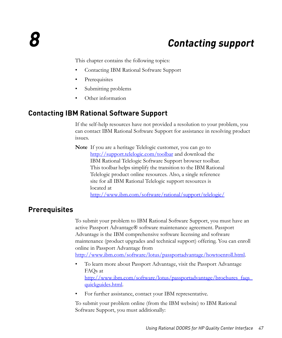# *8 Contacting support*

<span id="page-54-0"></span>This chapter contains the following topics:

- [Contacting IBM Rational Software Support](#page-54-1)
- **[Prerequisites](#page-54-2)**
- [Submitting problems](#page-55-0)
- <span id="page-54-3"></span>• [Other information](#page-57-0)

## <span id="page-54-1"></span>**Contacting IBM Rational Software Support**

If the self-help resources have not provided a resolution to your problem, you can contact IBM Rational Software Support for assistance in resolving product issues.

**Note** If you are a heritage Telelogic customer, you can go to http://support.telelogic.com/toolbar and download the IBM Rational Telelogic Software Support browser toolbar. This toolbar helps simplify the transition to the IBM Rational Telelogic product online resources. Also, a single reference site for all IBM Rational Telelogic support resources is located at

http://www.ibm.com/software/rational/support/telelogic/

## <span id="page-54-2"></span>**Prerequisites**

To submit your problem to IBM Rational Software Support, you must have an active Passport Advantage® software maintenance agreement. Passport Advantage is the IBM comprehensive software licensing and software maintenance (product upgrades and technical support) offering. You can enroll online in Passport Advantage from

http://www.ibm.com/software/lotus/passportadvantage/howtoenroll.html.

- To learn more about Passport Advantage, visit the Passport Advantage FAQs at http://www.ibm.com/software/lotus/passportadvantage/brochures\_faqs\_ quickguides.html.
- For further assistance, contact your IBM representative.

To submit your problem online (from the IBM website) to IBM Rational Software Support, you must additionally: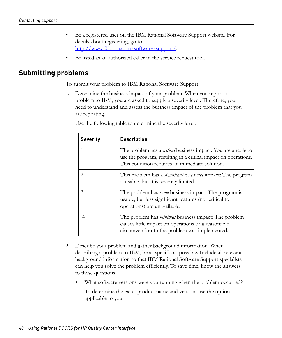- Be a registered user on the IBM Rational Software Support website. For details about registering, go to http://www-01.ibm.com/software/support/.
- Be listed as an authorized caller in the service request tool.

## <span id="page-55-0"></span>**Submitting problems**

To submit your problem to IBM Rational Software Support:

**1.** Determine the business impact of your problem. When you report a problem to IBM, you are asked to supply a severity level. Therefore, you need to understand and assess the business impact of the problem that you are reporting.

Use the following table to determine the severity level.

| <b>Severity</b> | <b>Description</b>                                                                                                                                                                       |
|-----------------|------------------------------------------------------------------------------------------------------------------------------------------------------------------------------------------|
| 1               | The problem has a <i>critical</i> business impact: You are unable to<br>use the program, resulting in a critical impact on operations.<br>This condition requires an immediate solution. |
| $\mathfrak{D}$  | This problem has a <i>significant</i> business impact: The program<br>is usable, but it is severely limited.                                                                             |
| 3               | The problem has <i>some</i> business impact: The program is<br>usable, but less significant features (not critical to<br>operations) are unavailable.                                    |
|                 | The problem has <i>minimal</i> business impact: The problem<br>causes little impact on operations or a reasonable<br>circumvention to the problem was implemented.                       |

- **2.** Describe your problem and gather background information. When describing a problem to IBM, be as specific as possible. Include all relevant background information so that IBM Rational Software Support specialists can help you solve the problem efficiently. To save time, know the answers to these questions:
	- What software versions were you running when the problem occurred? To determine the exact product name and version, use the option applicable to you: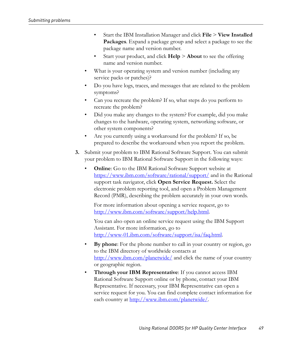- Start the IBM Installation Manager and click **File** > **View Installed Packages**. Expand a package group and select a package to see the package name and version number.
- Start your product, and click **Help** > **About** to see the offering name and version number.
- What is your operating system and version number (including any service packs or patches)?
- Do you have logs, traces, and messages that are related to the problem symptoms?
- Can you recreate the problem? If so, what steps do you perform to recreate the problem?
- Did you make any changes to the system? For example, did you make changes to the hardware, operating system, networking software, or other system components?
- Are you currently using a workaround for the problem? If so, be prepared to describe the workaround when you report the problem.
- **3.** Submit your problem to IBM Rational Software Support. You can submit your problem to IBM Rational Software Support in the following ways:
	- **Online**: Go to the IBM Rational Software Support website at https://www.ibm.com/software/rational/support/ and in the Rational support task navigator, click **Open Service Request.** Select the electronic problem reporting tool, and open a Problem Management Record (PMR), describing the problem accurately in your own words.

For more information about opening a service request, go to http://www.ibm.com/software/support/help.html.

You can also open an online service request using the IBM Support Assistant. For more information, go to http://www-01.ibm.com/software/support/isa/faq.html.

- **By phone**: For the phone number to call in your country or region, go to the IBM directory of worldwide contacts at http://www.ibm.com/planetwide/ and click the name of your country or geographic region.
- **Through your IBM Representative:** If you cannot access IBM Rational Software Support online or by phone, contact your IBM Representative. If necessary, your IBM Representative can open a service request for you. You can find complete contact information for each country at http://www.ibm.com/planetwide/.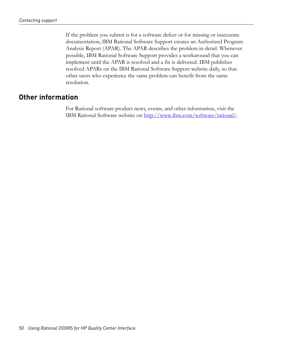If the problem you submit is for a software defect or for missing or inaccurate documentation, IBM Rational Software Support creates an Authorized Program Analysis Report (APAR). The APAR describes the problem in detail. Whenever possible, IBM Rational Software Support provides a workaround that you can implement until the APAR is resolved and a fix is delivered. IBM publishes resolved APARs on the IBM Rational Software Support website daily, so that other users who experience the same problem can benefit from the same resolution.

## <span id="page-57-0"></span>**Other information**

For Rational software product news, events, and other information, visit the IBM Rational Software website on http://www.ibm.com/software/rational/.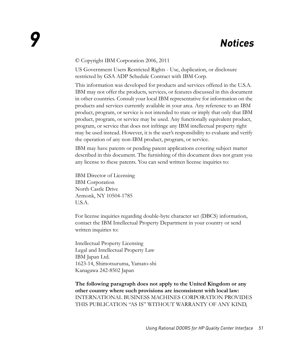#### <span id="page-58-1"></span><span id="page-58-0"></span>© Copyright IBM Corporation 2006, 2011

US Government Users Restricted Rights - Use, duplication, or disclosure restricted by GSA ADP Schedule Contract with IBM Corp.

This information was developed for products and services offered in the U.S.A. IBM may not offer the products, services, or features discussed in this document in other countries. Consult your local IBM representative for information on the products and services currently available in your area. Any reference to an IBM product, program, or service is not intended to state or imply that only that IBM product, program, or service may be used. Any functionally equivalent product, program, or service that does not infringe any IBM intellectual property right may be used instead. However, it is the user's responsibility to evaluate and verify the operation of any non-IBM product, program, or service.

IBM may have patents or pending patent applications covering subject matter described in this document. The furnishing of this document does not grant you any license to these patents. You can send written license inquiries to:

IBM Director of Licensing IBM Corporation North Castle Drive Armonk, NY 10504-1785 U.S.A.

For license inquiries regarding double-byte character set (DBCS) information, contact the IBM Intellectual Property Department in your country or send written inquiries to:

Intellectual Property Licensing Legal and Intellectual Property Law IBM Japan Ltd. 1623-14, Shimotsuruma, Yamato-shi Kanagawa 242-8502 Japan

**The following paragraph does not apply to the United Kingdom or any other country where such provisions are inconsistent with local law:** INTERNATIONAL BUSINESS MACHINES CORPORATION PROVIDES THIS PUBLICATION "AS IS" WITHOUT WARRANTY OF ANY KIND,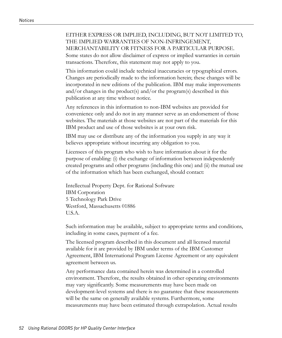#### EITHER EXPRESS OR IMPLIED, INCLUDING, BUT NOT LIMITED TO, THE IMPLIED WARRANTIES OF NON-INFRINGEMENT, MERCHANTABILITY OR FITNESS FOR A PARTICULAR PURPOSE. Some states do not allow disclaimer of express or implied warranties in certain

transactions. Therefore, this statement may not apply to you.

This information could include technical inaccuracies or typographical errors. Changes are periodically made to the information herein; these changes will be incorporated in new editions of the publication. IBM may make improvements and/or changes in the product(s) and/or the program(s) described in this publication at any time without notice.

Any references in this information to non-IBM websites are provided for convenience only and do not in any manner serve as an endorsement of those websites. The materials at those websites are not part of the materials for this IBM product and use of those websites is at your own risk.

IBM may use or distribute any of the information you supply in any way it believes appropriate without incurring any obligation to you.

Licensees of this program who wish to have information about it for the purpose of enabling: (i) the exchange of information between independently created programs and other programs (including this one) and (ii) the mutual use of the information which has been exchanged, should contact:

Intellectual Property Dept. for Rational Software IBM Corporation 5 Technology Park Drive Westford, Massachusetts 01886 U.S.A.

Such information may be available, subject to appropriate terms and conditions, including in some cases, payment of a fee.

The licensed program described in this document and all licensed material available for it are provided by IBM under terms of the IBM Customer Agreement, IBM International Program License Agreement or any equivalent agreement between us.

Any performance data contained herein was determined in a controlled environment. Therefore, the results obtained in other operating environments may vary significantly. Some measurements may have been made on development-level systems and there is no guarantee that these measurements will be the same on generally available systems. Furthermore, some measurements may have been estimated through extrapolation. Actual results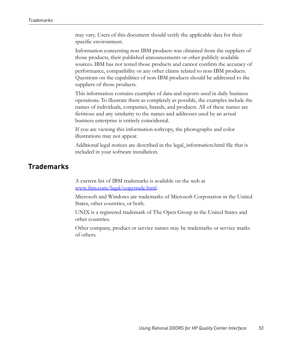may vary. Users of this document should verify the applicable data for their specific environment.

Information concerning non-IBM products was obtained from the suppliers of those products, their published announcements or other publicly available sources. IBM has not tested those products and cannot confirm the accuracy of performance, compatibility or any other claims related to non-IBM products. Questions on the capabilities of non-IBM products should be addressed to the suppliers of those products.

This information contains examples of data and reports used in daily business operations. To illustrate them as completely as possible, the examples include the names of individuals, companies, brands, and products. All of these names are fictitious and any similarity to the names and addresses used by an actual business enterprise is entirely coincidental.

If you are viewing this information softcopy, the photographs and color illustrations may not appear.

Additional legal notices are described in the legal\_information.html file that is included in your software installation.

# <span id="page-60-0"></span>**Trademarks**

A current list of IBM trademarks is available on the web at www.ibm.com/legal/copytrade.html.

Microsoft and Windows are trademarks of Microsoft Corporation in the United States, other countries, or both.

UNIX is a registered trademark of The Open Group in the United States and other countries.

Other company, product or service names may be trademarks or service marks of others.